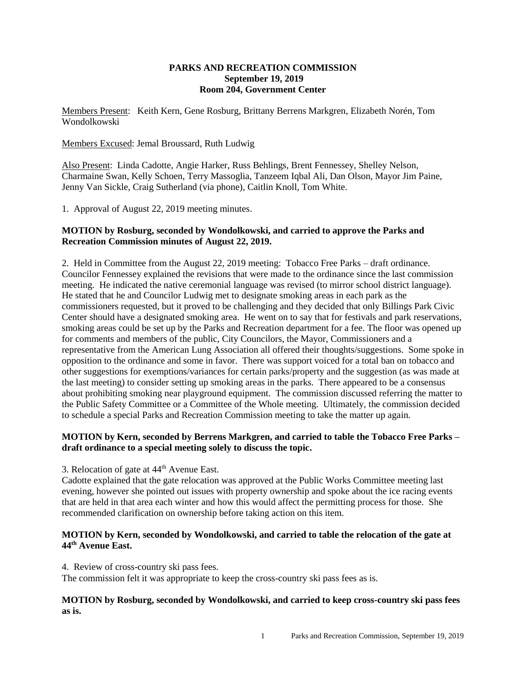### **PARKS AND RECREATION COMMISSION September 19, 2019 Room 204, Government Center**

Members Present: Keith Kern, Gene Rosburg, Brittany Berrens Markgren, Elizabeth Norén, Tom Wondolkowski

Members Excused: Jemal Broussard, Ruth Ludwig

Also Present: Linda Cadotte, Angie Harker, Russ Behlings, Brent Fennessey, Shelley Nelson, Charmaine Swan, Kelly Schoen, Terry Massoglia, Tanzeem Iqbal Ali, Dan Olson, Mayor Jim Paine, Jenny Van Sickle, Craig Sutherland (via phone), Caitlin Knoll, Tom White.

1. Approval of August 22, 2019 meeting minutes.

# **MOTION by Rosburg, seconded by Wondolkowski, and carried to approve the Parks and Recreation Commission minutes of August 22, 2019.**

2. Held in Committee from the August 22, 2019 meeting: Tobacco Free Parks – draft ordinance. Councilor Fennessey explained the revisions that were made to the ordinance since the last commission meeting. He indicated the native ceremonial language was revised (to mirror school district language). He stated that he and Councilor Ludwig met to designate smoking areas in each park as the commissioners requested, but it proved to be challenging and they decided that only Billings Park Civic Center should have a designated smoking area. He went on to say that for festivals and park reservations, smoking areas could be set up by the Parks and Recreation department for a fee. The floor was opened up for comments and members of the public, City Councilors, the Mayor, Commissioners and a representative from the American Lung Association all offered their thoughts/suggestions. Some spoke in opposition to the ordinance and some in favor. There was support voiced for a total ban on tobacco and other suggestions for exemptions/variances for certain parks/property and the suggestion (as was made at the last meeting) to consider setting up smoking areas in the parks. There appeared to be a consensus about prohibiting smoking near playground equipment. The commission discussed referring the matter to the Public Safety Committee or a Committee of the Whole meeting. Ultimately, the commission decided to schedule a special Parks and Recreation Commission meeting to take the matter up again.

## **MOTION by Kern, seconded by Berrens Markgren, and carried to table the Tobacco Free Parks – draft ordinance to a special meeting solely to discuss the topic.**

3. Relocation of gate at  $44<sup>th</sup>$  Avenue East.

Cadotte explained that the gate relocation was approved at the Public Works Committee meeting last evening, however she pointed out issues with property ownership and spoke about the ice racing events that are held in that area each winter and how this would affect the permitting process for those. She recommended clarification on ownership before taking action on this item.

# **MOTION by Kern, seconded by Wondolkowski, and carried to table the relocation of the gate at 44th Avenue East.**

4. Review of cross-country ski pass fees.

The commission felt it was appropriate to keep the cross-country ski pass fees as is.

## **MOTION by Rosburg, seconded by Wondolkowski, and carried to keep cross-country ski pass fees as is.**